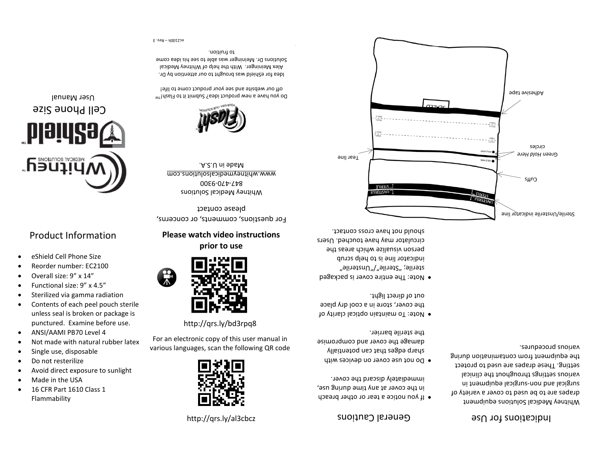#### <http://qrs.ly/al3cbcz>



For an electronic copy of this user manual in various languages, scan the following QR code

http://qrs.ly/bd3rpq8



**Please watch video instructions prior to use**

For questions, comments, or concerns, please contact

Whitney Medical Solutions 00 E6-0 L + - L + 8 www.whitneymealicalsolutions.com Made in U.S.A.



Do you have a new product idea? Submit it to Flash!<sup>TM</sup> off our website and see your product come to life!

Id[ea](http://www.whitneymedicalsolutions.com/) [for](http://www.whitneymedicalsolutions.com/) [eShield](http://www.whitneymedicalsolutions.com/) [was](http://www.whitneymedicalsolutions.com/) [brought](http://www.whitneymedicalsolutions.com/) [to](http://www.whitneymedicalsolutions.com/) [our](http://www.whitneymedicalsolutions.com/) [attention](http://www.whitneymedicalsolutions.com/) [by](http://www.whitneymedicalsolutions.com/) Dr. Alex Meininger. With the help of Whitney Medical Solutions Dr. Meininger was able to see his idea come . to fruition

 $6.798 - 40015$ 

### General Cautions

- If you notice a tear or other breach in the cover at any time during use, . immediately discard the cover
- Do not use cover on devices with sharp edges that can potentially damage the cover and compromise . the sterile barrier
- o Note: To maintain optical clarity of the cover, store in a cool dry place out of direct light.
- Note: The entire cover is packaged sterile; "Sterile"/"Unsterile" indicator line is to help scrub person visualize which areas the circulator may have touched. Users

#### Indications for Use

Whitney Medical Solutions equipment drapes are to be used to cover a variety of surgical and non-surgical eduipment in various settings throughout the clinical setting. These drapes are used to protect the equipment from contamination during various procedures.



# • eShield Cell Phone Size

## Product Information

• Reorder number: EC2100 • Overall size: 9" x 14" • Functional size: 9" x 4.5" Sterilized via gamma radiation • Contents of each peel pouch sterile unless seal is broken or package is punctured. Examine before use.

• ANSI/AAMI PB70 Level 4

Single use, disposable • Do not resterilize

• 16 CFR Part 1610 Class 1

• Made in the USA

Flammability

• Not made with natural rubber latex

• Avoid direct exposure to sunlight



# Cell Phone Size

User Manual